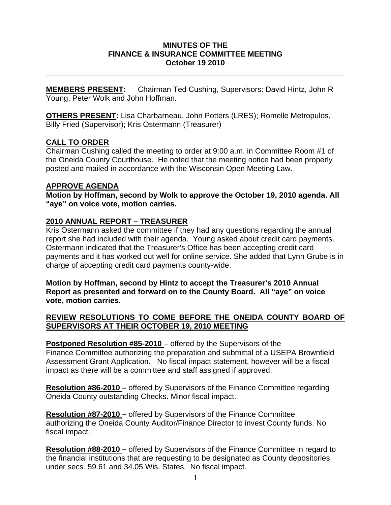### **MINUTES OF THE FINANCE & INSURANCE COMMITTEE MEETING October 19 2010**

**\_\_\_\_\_\_\_\_\_\_\_\_\_\_\_\_\_\_\_\_\_\_\_\_\_\_\_\_\_\_\_\_\_\_\_\_\_\_\_\_\_\_\_\_\_\_\_\_\_\_\_\_\_\_\_\_\_\_\_\_\_\_\_\_\_\_\_\_\_\_** 

**MEMBERS PRESENT:** Chairman Ted Cushing, Supervisors: David Hintz, John R Young, Peter Wolk and John Hoffman.

**OTHERS PRESENT:** Lisa Charbarneau, John Potters (LRES); Romelle Metropulos, Billy Fried (Supervisor); Kris Ostermann (Treasurer)

# **CALL TO ORDER**

Chairman Cushing called the meeting to order at 9:00 a.m. in Committee Room #1 of the Oneida County Courthouse. He noted that the meeting notice had been properly posted and mailed in accordance with the Wisconsin Open Meeting Law.

# **APPROVE AGENDA**

**Motion by Hoffman, second by Wolk to approve the October 19, 2010 agenda. All "aye" on voice vote, motion carries.** 

# **2010 ANNUAL REPORT – TREASURER**

Kris Ostermann asked the committee if they had any questions regarding the annual report she had included with their agenda. Young asked about credit card payments. Ostermann indicated that the Treasurer's Office has been accepting credit card payments and it has worked out well for online service. She added that Lynn Grube is in charge of accepting credit card payments county-wide.

**Motion by Hoffman, second by Hintz to accept the Treasurer's 2010 Annual Report as presented and forward on to the County Board. All "aye" on voice vote, motion carries.** 

### **REVIEW RESOLUTIONS TO COME BEFORE THE ONEIDA COUNTY BOARD OF SUPERVISORS AT THEIR OCTOBER 19, 2010 MEETING**

**Postponed Resolution #85-2010** – offered by the Supervisors of the Finance Committee authorizing the preparation and submittal of a USEPA Brownfield Assessment Grant Application. No fiscal impact statement, however will be a fiscal impact as there will be a committee and staff assigned if approved.

**Resolution #86-2010 –** offered by Supervisors of the Finance Committee regarding Oneida County outstanding Checks. Minor fiscal impact.

**Resolution #87-2010 –** offered by Supervisors of the Finance Committee authorizing the Oneida County Auditor/Finance Director to invest County funds. No fiscal impact.

**Resolution #88-2010 –** offered by Supervisors of the Finance Committee in regard to the financial institutions that are requesting to be designated as County depositories under secs. 59.61 and 34.05 Wis. States. No fiscal impact.